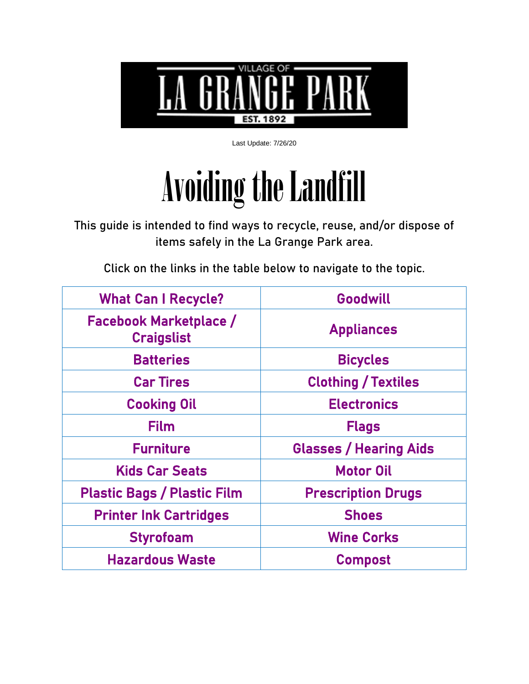

Last Update: 7/26/20

# Avoiding the Landfill

This guide is intended to find ways to recycle, reuse, and/or dispose of items safely in the La Grange Park area.

Click on the links in the table below to navigate to the topic.

| <b>What Can I Recycle?</b>                         | Goodwill                      |
|----------------------------------------------------|-------------------------------|
| <b>Facebook Marketplace /</b><br><b>Craigslist</b> | <b>Appliances</b>             |
| <b>Batteries</b>                                   | <b>Bicycles</b>               |
| <b>Car Tires</b>                                   | <b>Clothing / Textiles</b>    |
| <b>Cooking Oil</b>                                 | <b>Electronics</b>            |
| <b>Film</b>                                        | <b>Flags</b>                  |
| <b>Furniture</b>                                   | <b>Glasses / Hearing Aids</b> |
| <b>Kids Car Seats</b>                              | <b>Motor Oil</b>              |
| <b>Plastic Bags / Plastic Film</b>                 | <b>Prescription Drugs</b>     |
| <b>Printer Ink Cartridges</b>                      | <b>Shoes</b>                  |
| <b>Styrofoam</b>                                   | <b>Wine Corks</b>             |
| <b>Hazardous Waste</b>                             | <b>Compost</b>                |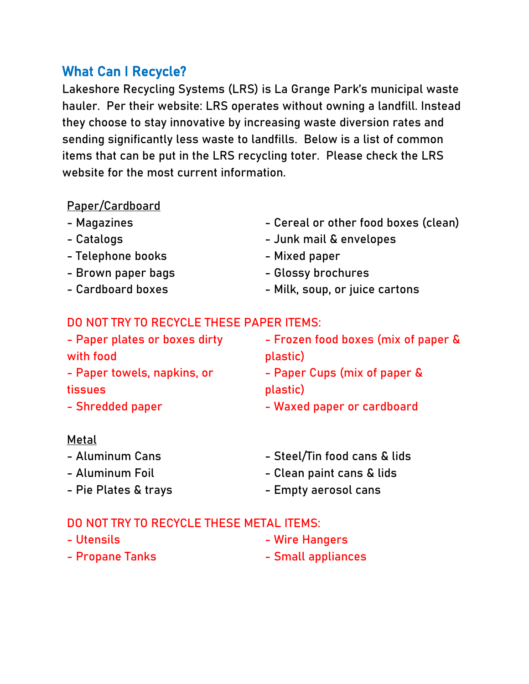# <span id="page-1-0"></span>What Can I Recycle?

Lakeshore Recycling Systems (LRS) is La Grange Park's municipal waste hauler. Per their website: LRS operates without owning a landfill. Instead they choose to stay innovative by increasing waste diversion rates and sending significantly less waste to landfills. Below is a list of common items that can be put in the LRS recycling toter. Please check the LRS website for the most current information.

#### Paper/Cardboard

- Magazines
- Catalogs
- Telephone books
- Brown paper bags
- Cardboard boxes
- Cereal or other food boxes (clean)
- Junk mail & envelopes
- Mixed paper
- Glossy brochures
- Milk, soup, or juice cartons

#### DO NOT TRY TO RECYCLE THESE PAPER ITEMS:

| - Paper plates or boxes dirty | - Frozen food boxes (mix of paper & |
|-------------------------------|-------------------------------------|
| with food                     | plastic)                            |
| - Paper towels, napkins, or   | - Paper Cups (mix of paper &        |
| tissues                       | plastic)                            |
| - Shredded paper              | - Waxed paper or cardboard          |
|                               |                                     |

#### Metal

- Aluminum Cans
- Aluminum Foil
- Pie Plates & trays
- Steel/Tin food cans & lids
- Clean paint cans & lids
- Empty aerosol cans

#### DO NOT TRY TO RECYCLE THESE METAL ITEMS:

- Utensils
- Propane Tanks
- Wire Hangers
- Small appliances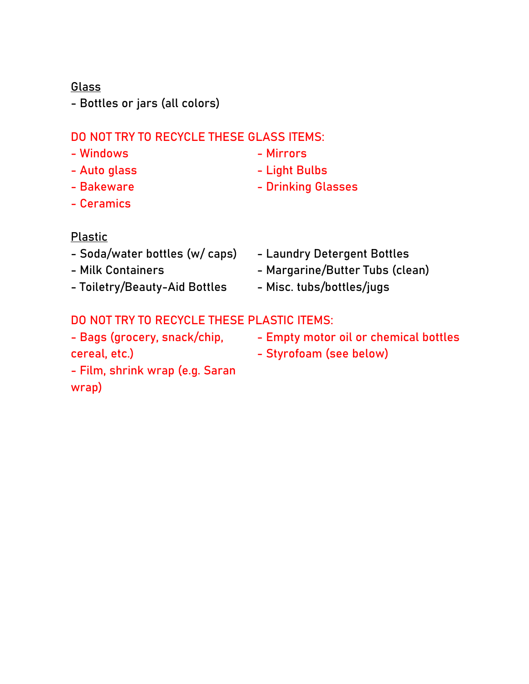#### Glass

- Bottles or jars (all colors)

#### DO NOT TRY TO RECYCLE THESE GLASS ITEMS:

- Windows
- Auto glass - Bakeware
- Mirrors
- Light Bulbs
- Drinking Glasses

- Ceramics

#### Plastic

- Soda/water bottles (w/ caps)
- Milk Containers
- Toiletry/Beauty-Aid Bottles
- Laundry Detergent Bottles
- Margarine/Butter Tubs (clean)
- Misc. tubs/bottles/jugs

# DO NOT TRY TO RECYCLE THESE PLASTIC ITEMS:

- Bags (grocery, snack/chip, cereal, etc.)
- Empty motor oil or chemical bottles
- Styrofoam (see below)
- Film, shrink wrap (e.g. Saran wrap)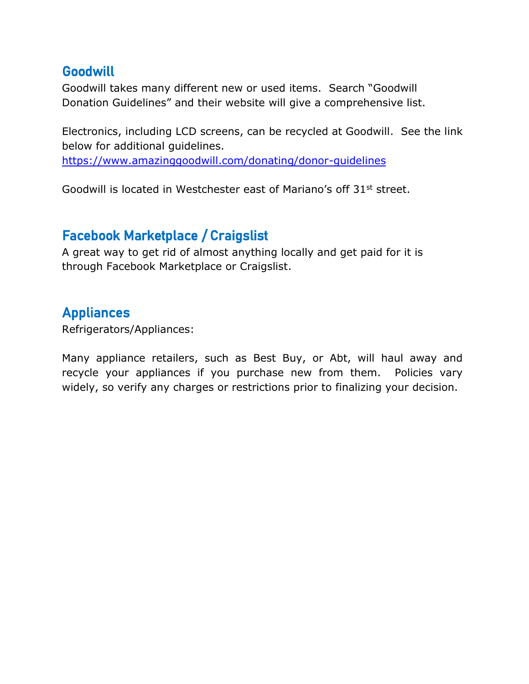## <span id="page-3-0"></span>**Goodwill**

Goodwill takes many different new or used items. Search "Goodwill Donation Guidelines" and their website will give a comprehensive list.

Electronics, including LCD screens, can be recycled at Goodwill. See the link below for additional guidelines.

<https://www.amazinggoodwill.com/donating/donor-guidelines>

Goodwill is located in Westchester east of Mariano's off 31st street.

## <span id="page-3-1"></span>Facebook Marketplace / Craigslist

A great way to get rid of almost anything locally and get paid for it is through Facebook Marketplace or Craigslist.

#### <span id="page-3-2"></span>**Appliances**

Refrigerators/Appliances:

Many appliance retailers, such as Best Buy, or Abt, will haul away and recycle your appliances if you purchase new from them. Policies vary widely, so verify any charges or restrictions prior to finalizing your decision.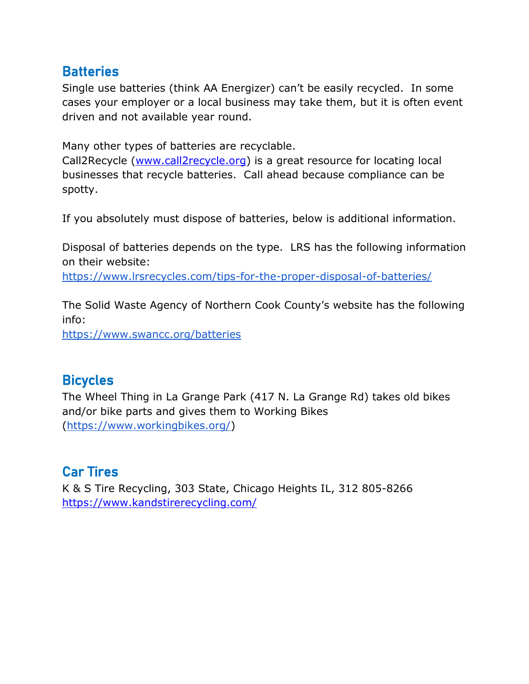## <span id="page-4-0"></span>**Batteries**

Single use batteries (think AA Energizer) can't be easily recycled. In some cases your employer or a local business may take them, but it is often event driven and not available year round.

Many other types of batteries are recyclable.

Call2Recycle [\(www.call2recycle.org\)](http://www.call2recycle.org/) is a great resource for locating local businesses that recycle batteries. Call ahead because compliance can be spotty.

If you absolutely must dispose of batteries, below is additional information.

Disposal of batteries depends on the type. LRS has the following information on their website:

<https://www.lrsrecycles.com/tips-for-the-proper-disposal-of-batteries/>

The Solid Waste Agency of Northern Cook County's website has the following info:

<https://www.swancc.org/batteries>

## <span id="page-4-1"></span>**Bicycles**

The Wheel Thing in La Grange Park (417 N. La Grange Rd) takes old bikes and/or bike parts and gives them to Working Bikes [\(https://www.workingbikes.org/\)](https://www.workingbikes.org/)

# <span id="page-4-2"></span>Car Tires

K & S Tire Recycling, 303 State, Chicago Heights IL, 312 805-8266 <https://www.kandstirerecycling.com/>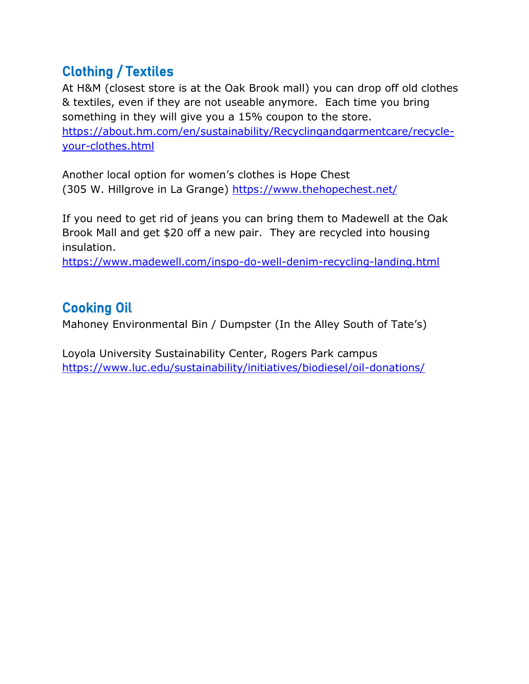# <span id="page-5-0"></span>Clothing / Textiles

At H&M (closest store is at the Oak Brook mall) you can drop off old clothes & textiles, even if they are not useable anymore. Each time you bring something in they will give you a 15% coupon to the store. [https://about.hm.com/en/sustainability/Recyclingandgarmentcare/recycle](https://about.hm.com/en/sustainability/Recyclingandgarmentcare/recycle-your-clothes.html)[your-clothes.html](https://about.hm.com/en/sustainability/Recyclingandgarmentcare/recycle-your-clothes.html)

Another local option for women's clothes is Hope Chest (305 W. Hillgrove in La Grange)<https://www.thehopechest.net/>

If you need to get rid of jeans you can bring them to Madewell at the Oak Brook Mall and get \$20 off a new pair. They are recycled into housing insulation.

<https://www.madewell.com/inspo-do-well-denim-recycling-landing.html>

## <span id="page-5-1"></span>Cooking Oil

Mahoney Environmental Bin / Dumpster (In the Alley South of Tate's)

Loyola University Sustainability Center, Rogers Park campus <https://www.luc.edu/sustainability/initiatives/biodiesel/oil-donations/>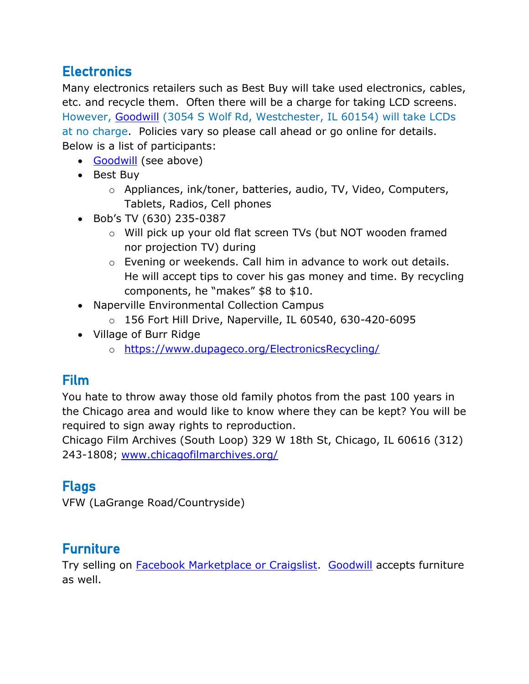# <span id="page-6-0"></span>**Electronics**

Many electronics retailers such as Best Buy will take used electronics, cables, etc. and recycle them. Often there will be a charge for taking LCD screens. However, [Goodwill](#page-3-0) (3054 S Wolf Rd, Westchester, IL 60154) will take LCDs at no charge. Policies vary so please call ahead or go online for details. Below is a list of participants:

- [Goodwill](#page-3-0) (see above)
- Best Buy
	- o Appliances, ink/toner, batteries, audio, TV, Video, Computers, Tablets, Radios, Cell phones
- Bob's TV (630) 235-0387
	- o Will pick up your old flat screen TVs (but NOT wooden framed nor projection TV) during
	- o Evening or weekends. Call him in advance to work out details. He will accept tips to cover his gas money and time. By recycling components, he "makes" \$8 to \$10.
- Naperville Environmental Collection Campus
	- o 156 Fort Hill Drive, Naperville, IL 60540, 630-420-6095
- Village of Burr Ridge
	- o <https://www.dupageco.org/ElectronicsRecycling/>

# <span id="page-6-1"></span>Film

You hate to throw away those old family photos from the past 100 years in the Chicago area and would like to know where they can be kept? You will be required to sign away rights to reproduction.

Chicago Film Archives (South Loop) 329 W 18th St, Chicago, IL 60616 (312) 243-1808; [www.chicagofilmarchives.org/](http://www.chicagofilmarchives.org/)

# <span id="page-6-2"></span>Flags

VFW (LaGrange Road/Countryside)

# <span id="page-6-3"></span>**Furniture**

Try selling on **Facebook Marketplace or Craigslist.** [Goodwill](#page-3-0) accepts furniture as well.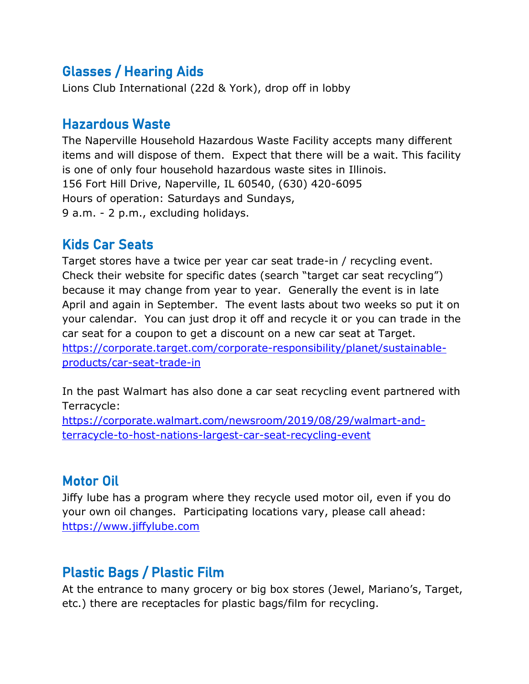# <span id="page-7-0"></span>Glasses / Hearing Aids

<span id="page-7-4"></span>Lions Club International (22d & York), drop off in lobby

## Hazardous Waste

The Naperville Household Hazardous Waste Facility accepts many different items and will dispose of them. Expect that there will be a wait. This facility is one of only four household hazardous waste sites in Illinois. 156 Fort Hill Drive, Naperville, IL 60540, (630) 420-6095 Hours of operation: Saturdays and Sundays, 9 a.m. - 2 p.m., excluding holidays.

## <span id="page-7-1"></span>Kids Car Seats

Target stores have a twice per year car seat trade-in / recycling event. Check their website for specific dates (search "target car seat recycling") because it may change from year to year. Generally the event is in late April and again in September. The event lasts about two weeks so put it on your calendar. You can just drop it off and recycle it or you can trade in the car seat for a coupon to get a discount on a new car seat at Target. [https://corporate.target.com/corporate-responsibility/planet/sustainable](https://corporate.target.com/corporate-responsibility/planet/sustainable-products/car-seat-trade-in)[products/car-seat-trade-in](https://corporate.target.com/corporate-responsibility/planet/sustainable-products/car-seat-trade-in)

In the past Walmart has also done a car seat recycling event partnered with Terracycle:

[https://corporate.walmart.com/newsroom/2019/08/29/walmart-and](https://corporate.walmart.com/newsroom/2019/08/29/walmart-and-terracycle-to-host-nations-largest-car-seat-recycling-event)[terracycle-to-host-nations-largest-car-seat-recycling-event](https://corporate.walmart.com/newsroom/2019/08/29/walmart-and-terracycle-to-host-nations-largest-car-seat-recycling-event)

## <span id="page-7-2"></span>Motor Oil

Jiffy lube has a program where they recycle used motor oil, even if you do your own oil changes. Participating locations vary, please call ahead: [https://www.jiffylube.com](https://www.jiffylube.com/resource-center/a-second-life-for-your-used-motor-oil#:~:text=Jiffy%20Lube%20is%20proud%20to,designated%20oil%20recycling%20collection%20centers)

# <span id="page-7-3"></span>Plastic Bags / Plastic Film

At the entrance to many grocery or big box stores (Jewel, Mariano's, Target, etc.) there are receptacles for plastic bags/film for recycling.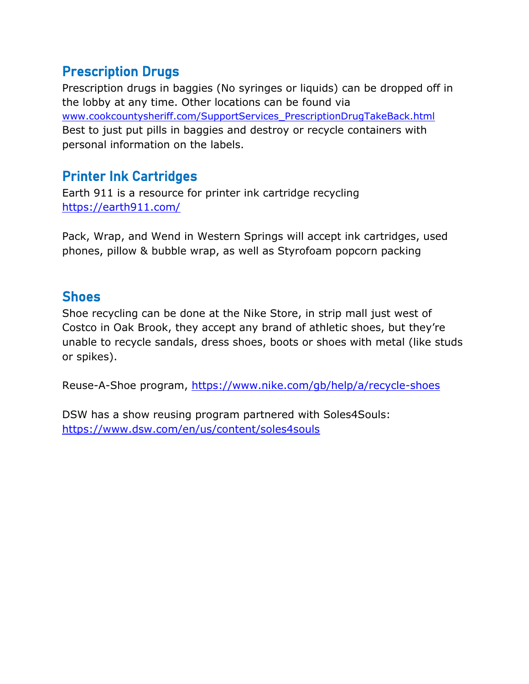## <span id="page-8-0"></span>Prescription Drugs

Prescription drugs in baggies (No syringes or liquids) can be dropped off in the lobby at any time. Other locations can be found via [www.cookcountysheriff.com/SupportServices\\_PrescriptionDrugTakeBack.html](http://www.cookcountysheriff.com/SupportServices_PrescriptionDrugTakeBack.html) Best to just put pills in baggies and destroy or recycle containers with personal information on the labels.

# <span id="page-8-1"></span>Printer Ink Cartridges

Earth 911 is a resource for printer ink cartridge recycling [https://earth911.com/](https://earth911.com/recycling-guide/how-to-recycle-ink-cartridges/?utm_source=New+Earth911+List+-+2015&utm_campaign=788593307f-EMAIL_CAMPAIGN_2017_10_07_COPY_01&utm_medium=email&utm_term=0_5e8b4dc609-788593307f-167877965)

Pack, Wrap, and Wend in Western Springs will accept ink cartridges, used phones, pillow & bubble wrap, as well as Styrofoam popcorn packing

## <span id="page-8-2"></span>**Shoes**

Shoe recycling can be done at the Nike Store, in strip mall just west of Costco in Oak Brook, they accept any brand of athletic shoes, but they're unable to recycle sandals, dress shoes, boots or shoes with metal (like studs or spikes).

Reuse-A-Shoe program,<https://www.nike.com/gb/help/a/recycle-shoes>

DSW has a show reusing program partnered with Soles4Souls: <https://www.dsw.com/en/us/content/soles4souls>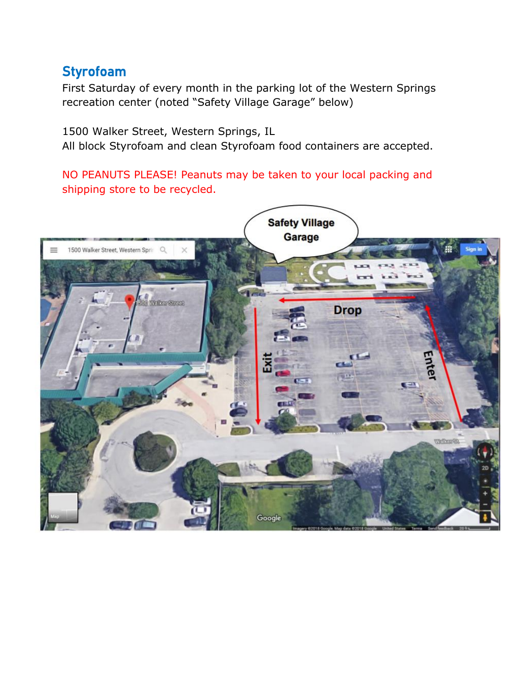## <span id="page-9-0"></span>Styrofoam

First Saturday of every month in the parking lot of the Western Springs recreation center (noted "Safety Village Garage" below)

1500 Walker Street, Western Springs, IL All block Styrofoam and clean Styrofoam food containers are accepted.

NO PEANUTS PLEASE! Peanuts may be taken to your local packing and shipping store to be recycled.